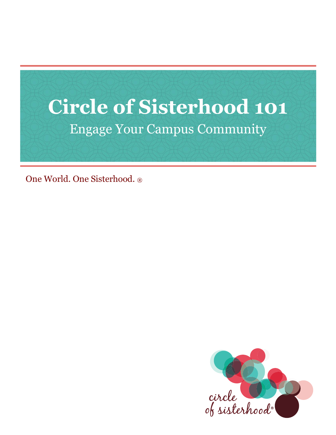

One World. One Sisterhood. ®

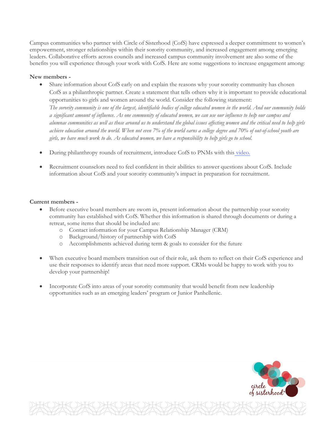Campus communities who partner with Circle of Sisterhood (CofS) have expressed a deeper commitment to women's empowerment, stronger relationships within their sorority community, and increased engagement among emerging leaders. Collaborative efforts across councils and increased campus community involvement are also some of the benefits you will experience through your work with CofS. Here are some suggestions to increase engagement among:

# **New members -**

- Share information about CofS early on and explain the reasons why your sorority community has chosen CofS as a philanthropic partner. Create a statement that tells others why it is important to provide educational opportunities to girls and women around the world. Consider the following statement: *The sorority community is one of the largest, identifiable bodies of college educated women in the world. And our community holds a significant amount of influence. As one community of educated women, we can use our influence to help our campus and alumnae communities as well as those around us to understand the global issues affecting women and the critical need to help girls achieve education around the world. When not even 7% of the world earns a college degree and 70% of out-of-school youth are girls, we have much work to do. As educated women, we have a responsibility to help girls go to school.*
- During philanthropy rounds of recruitment, introduce CofS to PNMs with this [video.](https://www.youtube.com/watch?v=NQMasYJo13U)
- Recruitment counselors need to feel confident in their abilities to answer questions about CofS. Include information about CofS and your sorority community's impact in preparation for recruitment.

## **Current members -**

- Before executive board members are sworn in, present information about the partnership your sorority community has established with CofS. Whether this information is shared through documents or during a retreat, some items that should be included are:
	- o Contact information for your Campus Relationship Manager (CRM)
	- o Background/history of partnership with CofS
	- o Accomplishments achieved during term & goals to consider for the future
- When executive board members transition out of their role, ask them to reflect on their CofS experience and use their responses to identify areas that need more support. CRMs would be happy to work with you to develop your partnership!
- Incorporate CofS into areas of your sorority community that would benefit from new leadership opportunities such as an emerging leaders' program or Junior Panhellenic.